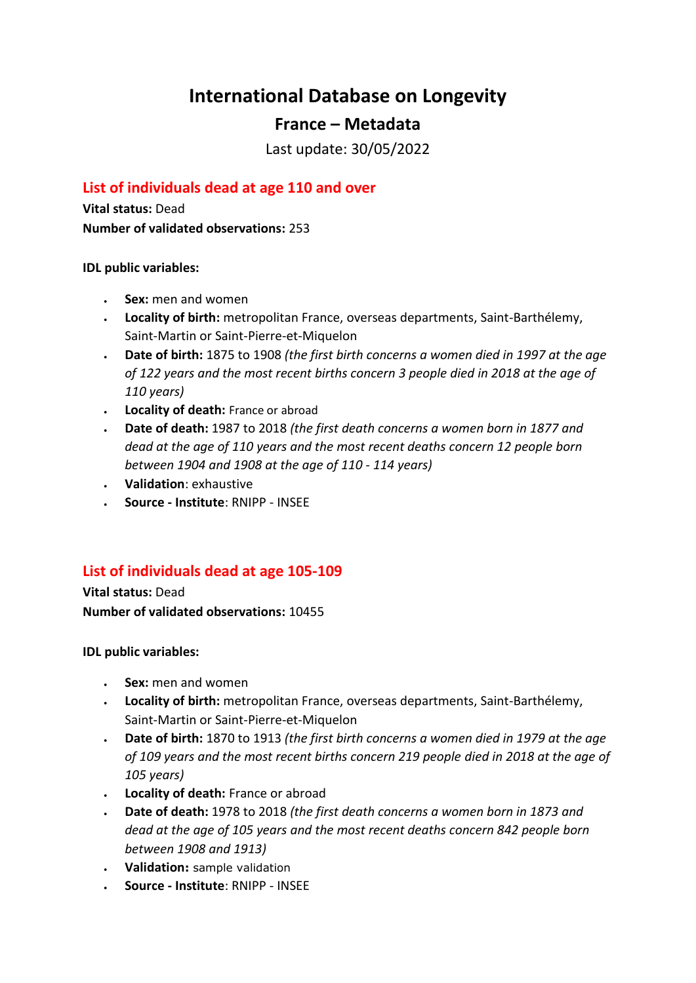# **International Database on Longevity**

# **France – Metadata**

Last update: 30/05/2022

### **List of individuals dead at age 110 and over**

**Vital status:** Dead **Number of validated observations:** 253

**IDL public variables:** 

- **Sex:** men and women
- **Locality of birth:** metropolitan France, overseas departments, Saint-Barthélemy, Saint-Martin or Saint-Pierre-et-Miquelon
- **Date of birth:** 1875 to 1908 *(the first birth concerns a women died in 1997 at the age of 122 years and the most recent births concern 3 people died in 2018 at the age of 110 years)*
- **Locality of death:** France or abroad
- **Date of death:** 1987 to 2018 *(the first death concerns a women born in 1877 and dead at the age of 110 years and the most recent deaths concern 12 people born between 1904 and 1908 at the age of 110 - 114 years)*
- **Validation**: exhaustive
- **Source - Institute**: RNIPP INSEE

# **List of individuals dead at age 105-109**

**Vital status:** Dead **Number of validated observations:** 10455

**IDL public variables:** 

- **Sex:** men and women
- **Locality of birth:** metropolitan France, overseas departments, Saint-Barthélemy, Saint-Martin or Saint-Pierre-et-Miquelon
- **Date of birth:** 1870 to 1913 *(the first birth concerns a women died in 1979 at the age of 109 years and the most recent births concern 219 people died in 2018 at the age of 105 years)*
- **Locality of death:** France or abroad
- **Date of death:** 1978 to 2018 *(the first death concerns a women born in 1873 and dead at the age of 105 years and the most recent deaths concern 842 people born between 1908 and 1913)*
- **Validation:** sample validation
- **Source - Institute**: RNIPP INSEE